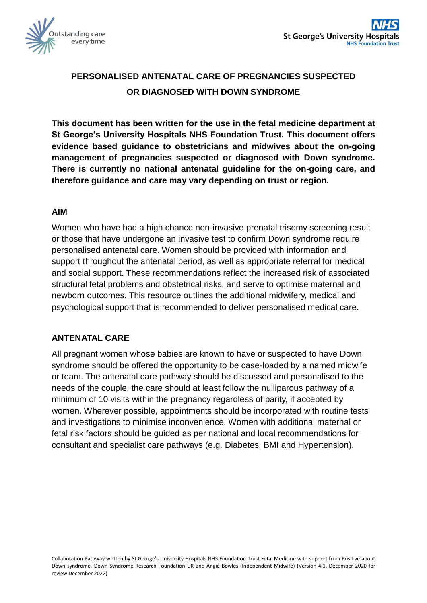

# **PERSONALISED ANTENATAL CARE OF PREGNANCIES SUSPECTED OR DIAGNOSED WITH DOWN SYNDROME**

**This document has been written for the use in the fetal medicine department at St George's University Hospitals NHS Foundation Trust. This document offers evidence based guidance to obstetricians and midwives about the on-going management of pregnancies suspected or diagnosed with Down syndrome. There is currently no national antenatal guideline for the on-going care, and therefore guidance and care may vary depending on trust or region.** 

#### **AIM**

Women who have had a high chance non-invasive prenatal trisomy screening result or those that have undergone an invasive test to confirm Down syndrome require personalised antenatal care. Women should be provided with information and support throughout the antenatal period, as well as appropriate referral for medical and social support. These recommendations reflect the increased risk of associated structural fetal problems and obstetrical risks, and serve to optimise maternal and newborn outcomes. This resource outlines the additional midwifery, medical and psychological support that is recommended to deliver personalised medical care.

#### **ANTENATAL CARE**

All pregnant women whose babies are known to have or suspected to have Down syndrome should be offered the opportunity to be case-loaded by a named midwife or team. The antenatal care pathway should be discussed and personalised to the needs of the couple, the care should at least follow the nulliparous pathway of a minimum of 10 visits within the pregnancy regardless of parity, if accepted by women. Wherever possible, appointments should be incorporated with routine tests and investigations to minimise inconvenience. Women with additional maternal or fetal risk factors should be guided as per national and local recommendations for consultant and specialist care pathways (e.g. Diabetes, BMI and Hypertension).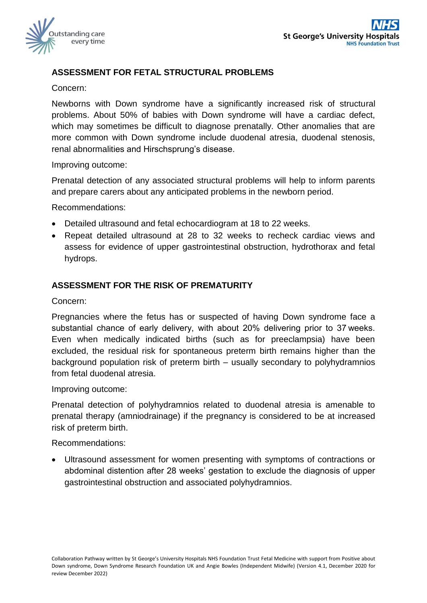

# **ASSESSMENT FOR FETAL STRUCTURAL PROBLEMS**

#### Concern:

Newborns with Down syndrome have a significantly increased risk of structural problems. About 50% of babies with Down syndrome will have a cardiac defect, which may sometimes be difficult to diagnose prenatally. Other anomalies that are more common with Down syndrome include duodenal atresia, duodenal stenosis, renal abnormalities and Hirschsprung's disease.

#### Improving outcome:

Prenatal detection of any associated structural problems will help to inform parents and prepare carers about any anticipated problems in the newborn period.

Recommendations:

- Detailed ultrasound and fetal echocardiogram at 18 to 22 weeks.
- Repeat detailed ultrasound at 28 to 32 weeks to recheck cardiac views and assess for evidence of upper gastrointestinal obstruction, hydrothorax and fetal hydrops.

#### **ASSESSMENT FOR THE RISK OF PREMATURITY**

Concern:

Pregnancies where the fetus has or suspected of having Down syndrome face a substantial chance of early delivery, with about 20% delivering prior to 37 weeks. Even when medically indicated births (such as for preeclampsia) have been excluded, the residual risk for spontaneous preterm birth remains higher than the background population risk of preterm birth – usually secondary to polyhydramnios from fetal duodenal atresia.

Improving outcome:

Prenatal detection of polyhydramnios related to duodenal atresia is amenable to prenatal therapy (amniodrainage) if the pregnancy is considered to be at increased risk of preterm birth.

Recommendations:

 Ultrasound assessment for women presenting with symptoms of contractions or abdominal distention after 28 weeks' gestation to exclude the diagnosis of upper gastrointestinal obstruction and associated polyhydramnios.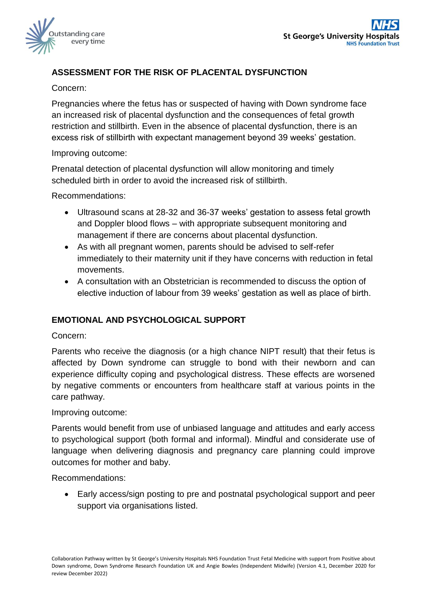

# **ASSESSMENT FOR THE RISK OF PLACENTAL DYSFUNCTION**

### Concern:

Pregnancies where the fetus has or suspected of having with Down syndrome face an increased risk of placental dysfunction and the consequences of fetal growth restriction and stillbirth. Even in the absence of placental dysfunction, there is an excess risk of stillbirth with expectant management beyond 39 weeks' gestation.

#### Improving outcome:

Prenatal detection of placental dysfunction will allow monitoring and timely scheduled birth in order to avoid the increased risk of stillbirth.

Recommendations:

- Ultrasound scans at 28-32 and 36-37 weeks' gestation to assess fetal growth and Doppler blood flows – with appropriate subsequent monitoring and management if there are concerns about placental dysfunction.
- As with all pregnant women, parents should be advised to self-refer immediately to their maternity unit if they have concerns with reduction in fetal movements.
- A consultation with an Obstetrician is recommended to discuss the option of elective induction of labour from 39 weeks' gestation as well as place of birth.

# **EMOTIONAL AND PSYCHOLOGICAL SUPPORT**

#### Concern:

Parents who receive the diagnosis (or a high chance NIPT result) that their fetus is affected by Down syndrome can struggle to bond with their newborn and can experience difficulty coping and psychological distress. These effects are worsened by negative comments or encounters from healthcare staff at various points in the care pathway.

#### Improving outcome:

Parents would benefit from use of unbiased language and attitudes and early access to psychological support (both formal and informal). Mindful and considerate use of language when delivering diagnosis and pregnancy care planning could improve outcomes for mother and baby.

Recommendations:

 Early access/sign posting to pre and postnatal psychological support and peer support via organisations listed.